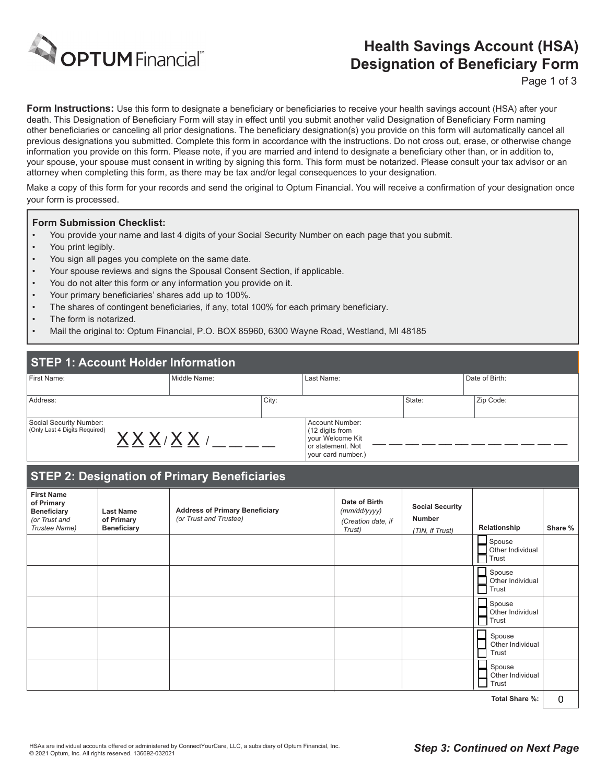

# **Health Savings Account (HSA) Designation of Beneficiary Form**

Page 1 of 3

**Form Instructions:** Use this form to designate a beneficiary or beneficiaries to receive your health savings account (HSA) after your death. This Designation of Beneficiary Form will stay in effect until you submit another valid Designation of Beneficiary Form naming other beneficiaries or canceling all prior designations. The beneficiary designation(s) you provide on this form will automatically cancel all previous designations you submitted. Complete this form in accordance with the instructions. Do not cross out, erase, or otherwise change information you provide on this form. Please note, if you are married and intend to designate a beneficiary other than, or in addition to, your spouse, your spouse must consent in writing by signing this form. This form must be notarized. Please consult your tax advisor or an attorney when completing this form, as there may be tax and/or legal consequences to your designation.

Make a copy of this form for your records and send the original to Optum Financial. You will receive a confirmation of your designation once your form is processed.

#### **Form Submission Checklist:**

- You provide your name and last 4 digits of your Social Security Number on each page that you submit.
- You print legibly.
- You sign all pages you complete on the same date.
- Your spouse reviews and signs the Spousal Consent Section, if applicable.
- You do not alter this form or any information you provide on it.
- Your primary beneficiaries' shares add up to 100%.
- The shares of contingent beneficiaries, if any, total 100% for each primary beneficiary.
- The form is notarized.
- Mail the original to: Optum Financial, P.O. BOX 85960, 6300 Wayne Road, Westland, MI 48185

### **STEP 1: Account Holder Information**

| First Name:                             | Middle Name: |       | Last Name:                          |        | Date of Birth: |  |
|-----------------------------------------|--------------|-------|-------------------------------------|--------|----------------|--|
|                                         |              |       |                                     |        |                |  |
| Address:                                |              | City: |                                     | State: | Zip Code:      |  |
|                                         |              |       |                                     |        |                |  |
| Social Security Number:                 |              |       | Account Number:                     |        |                |  |
| (Only Last 4 Digits Required)<br>VVV,VV |              |       | (12 digits from<br>vour Welcome Kit |        |                |  |
|                                         |              |       | or statement. Not                   |        |                |  |
|                                         |              |       | vour card number.)                  |        |                |  |

## **STEP 2: Designation of Primary Beneficiaries**

|                                                                                         | .                                                    | г.                                                              |                                                               |                                                            |                                     |         |
|-----------------------------------------------------------------------------------------|------------------------------------------------------|-----------------------------------------------------------------|---------------------------------------------------------------|------------------------------------------------------------|-------------------------------------|---------|
| <b>First Name</b><br>of Primary<br><b>Beneficiary</b><br>(or Trust and<br>Trustee Name) | <b>Last Name</b><br>of Primary<br><b>Beneficiary</b> | <b>Address of Primary Beneficiary</b><br>(or Trust and Trustee) | Date of Birth<br>(mm/dd/yyyy)<br>(Creation date, if<br>Trust) | <b>Social Security</b><br><b>Number</b><br>(TIN, if Trust) | Relationship                        | Share % |
|                                                                                         |                                                      |                                                                 |                                                               |                                                            | Spouse<br>Other Individual<br>Trust |         |
|                                                                                         |                                                      |                                                                 |                                                               |                                                            | Spouse<br>Other Individual<br>Trust |         |
|                                                                                         |                                                      |                                                                 |                                                               |                                                            | Spouse<br>Other Individual<br>Trust |         |
|                                                                                         |                                                      |                                                                 |                                                               |                                                            | Spouse<br>Other Individual<br>Trust |         |
|                                                                                         |                                                      |                                                                 |                                                               |                                                            | Spouse<br>Other Individual<br>Trust |         |
|                                                                                         |                                                      |                                                                 |                                                               |                                                            | .                                   | $\sim$  |

**Total Share %:**  $\theta$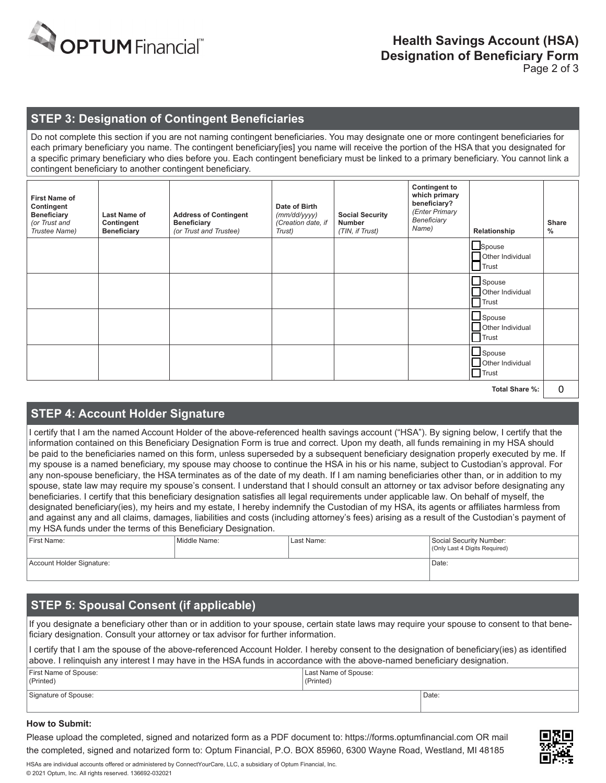

#### **STEP 3: Designation of Contingent Beneficiaries**

Do not complete this section if you are not naming contingent beneficiaries. You may designate one or more contingent beneficiaries for each primary beneficiary you name. The contingent beneficiary[ies] you name will receive the portion of the HSA that you designated for a specific primary beneficiary who dies before you. Each contingent beneficiary must be linked to a primary beneficiary. You cannot link a contingent beneficiary to another contingent beneficiary.

| beneficiary?<br>Contingent<br>Date of Birth<br>(Enter Primary<br><b>Beneficiary</b><br>Last Name of<br><b>Address of Contingent</b><br><b>Social Security</b><br>(mm/dd/yyyy)<br>Beneficiary<br>(Creation date, if<br><b>Number</b><br>(or Trust and<br>Contingent<br><b>Beneficiary</b><br>Name)<br>Trustee Name)<br>(or Trust and Trustee)<br>(TIN, if Trust)<br><b>Beneficiary</b><br>Trust) | <b>Share</b><br>%<br>Relationship                  |
|-------------------------------------------------------------------------------------------------------------------------------------------------------------------------------------------------------------------------------------------------------------------------------------------------------------------------------------------------------------------------------------------------|----------------------------------------------------|
|                                                                                                                                                                                                                                                                                                                                                                                                 | Spouse<br>Other Individual<br><b>Trust</b>         |
|                                                                                                                                                                                                                                                                                                                                                                                                 | $\Box$ Spouse<br>Other Individual<br>$\Box$ Trust  |
|                                                                                                                                                                                                                                                                                                                                                                                                 | $\Box$ Spouse<br>Other Individual<br><b>Trust</b>  |
|                                                                                                                                                                                                                                                                                                                                                                                                 | $\Box$ Spouse<br>Other Individual<br>$\prod$ Trust |

**Total Share %:**

#### **STEP 4: Account Holder Signature**

I certify that I am the named Account Holder of the above-referenced health savings account ("HSA"). By signing below, I certify that the information contained on this Beneficiary Designation Form is true and correct. Upon my death, all funds remaining in my HSA should be paid to the beneficiaries named on this form, unless superseded by a subsequent beneficiary designation properly executed by me. If my spouse is a named beneficiary, my spouse may choose to continue the HSA in his or his name, subject to Custodian's approval. For any non-spouse beneficiary, the HSA terminates as of the date of my death. If I am naming beneficiaries other than, or in addition to my spouse, state law may require my spouse's consent. I understand that I should consult an attorney or tax advisor before designating any beneficiaries. I certify that this beneficiary designation satisfies all legal requirements under applicable law. On behalf of myself, the designated beneficiary(ies), my heirs and my estate, I hereby indemnify the Custodian of my HSA, its agents or affiliates harmless from and against any and all claims, damages, liabilities and costs (including attorney's fees) arising as a result of the Custodian's payment of my HSA funds under the terms of this Beneficiary Designation. STEP 4: Account Holder Signature<br>
1early that I am the named Account Holder of the above-referenced health savings account (HSA), By signing below, I certify that I am the model of this Benedicial property executed by the

| First Name:               | Middle Name: | Last Name: | Social Security Number:<br>(Only Last 4 Digits Required) |
|---------------------------|--------------|------------|----------------------------------------------------------|
| Account Holder Signature: |              |            | Date:                                                    |

# **STEP 5: Spousal Consent (if applicable)**

If you designate a beneficiary other than or in addition to your spouse, certain state laws may require your spouse to consent to that beneficiary designation. Consult your attorney or tax advisor for further information.

I certify that I am the spouse of the above-referenced Account Holder. I hereby consent to the designation of beneficiary(ies) as identified above. I relinquish any interest I may have in the HSA funds in accordance with the above-named beneficiary designation.

| First Name of Spouse:<br>(Printed) | Last Name of Spouse:<br>(Printed) |       |
|------------------------------------|-----------------------------------|-------|
| Signature of Spouse:               |                                   | Date: |

#### **How to Submit:**

Please upload the completed, signed and notarized form as a PDF document to: https://forms.optumfinancial.com OR mail the completed, signed and notarized form to: Optum Financial, P.O. BOX 85960, 6300 Wayne Road, Westland, MI 48185